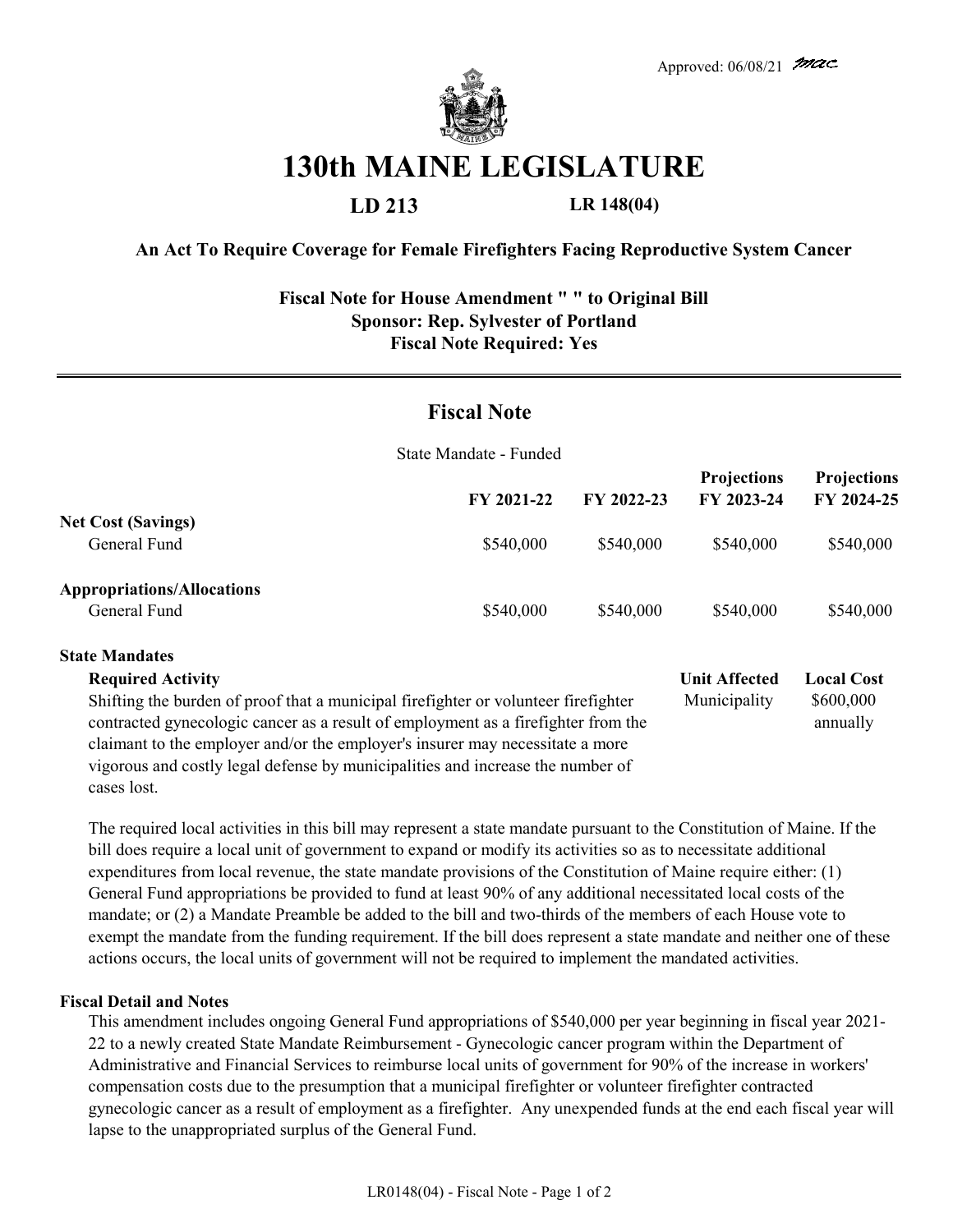

# **130th MAINE LEGISLATURE**

### **LD 213 LR 148(04)**

#### **An Act To Require Coverage for Female Firefighters Facing Reproductive System Cancer**

#### **Fiscal Note for House Amendment " " to Original Bill Sponsor: Rep. Sylvester of Portland Fiscal Note Required: Yes**

## **Fiscal Note**

State Mandate - Funded

|                                                   | FY 2021-22 | FY 2022-23 | <b>Projections</b><br>FY 2023-24 | <b>Projections</b><br>FY 2024-25 |
|---------------------------------------------------|------------|------------|----------------------------------|----------------------------------|
| <b>Net Cost (Savings)</b><br>General Fund         | \$540,000  | \$540,000  | \$540,000                        | \$540,000                        |
| <b>Appropriations/Allocations</b><br>General Fund | \$540,000  | \$540,000  | \$540,000                        | \$540,000                        |

#### **State Mandates Unit Affected Local Cost** Municipality \$600,000 annually **Required Activity** Shifting the burden of proof that a municipal firefighter or volunteer firefighter contracted gynecologic cancer as a result of employment as a firefighter from the claimant to the employer and/or the employer's insurer may necessitate a more vigorous and costly legal defense by municipalities and increase the number of cases lost.

The required local activities in this bill may represent a state mandate pursuant to the Constitution of Maine. If the bill does require a local unit of government to expand or modify its activities so as to necessitate additional expenditures from local revenue, the state mandate provisions of the Constitution of Maine require either: (1) General Fund appropriations be provided to fund at least 90% of any additional necessitated local costs of the mandate; or (2) a Mandate Preamble be added to the bill and two-thirds of the members of each House vote to exempt the mandate from the funding requirement. If the bill does represent a state mandate and neither one of these actions occurs, the local units of government will not be required to implement the mandated activities.

#### **Fiscal Detail and Notes**

This amendment includes ongoing General Fund appropriations of \$540,000 per year beginning in fiscal year 2021- 22 to a newly created State Mandate Reimbursement - Gynecologic cancer program within the Department of Administrative and Financial Services to reimburse local units of government for 90% of the increase in workers' compensation costs due to the presumption that a municipal firefighter or volunteer firefighter contracted gynecologic cancer as a result of employment as a firefighter. Any unexpended funds at the end each fiscal year will lapse to the unappropriated surplus of the General Fund.